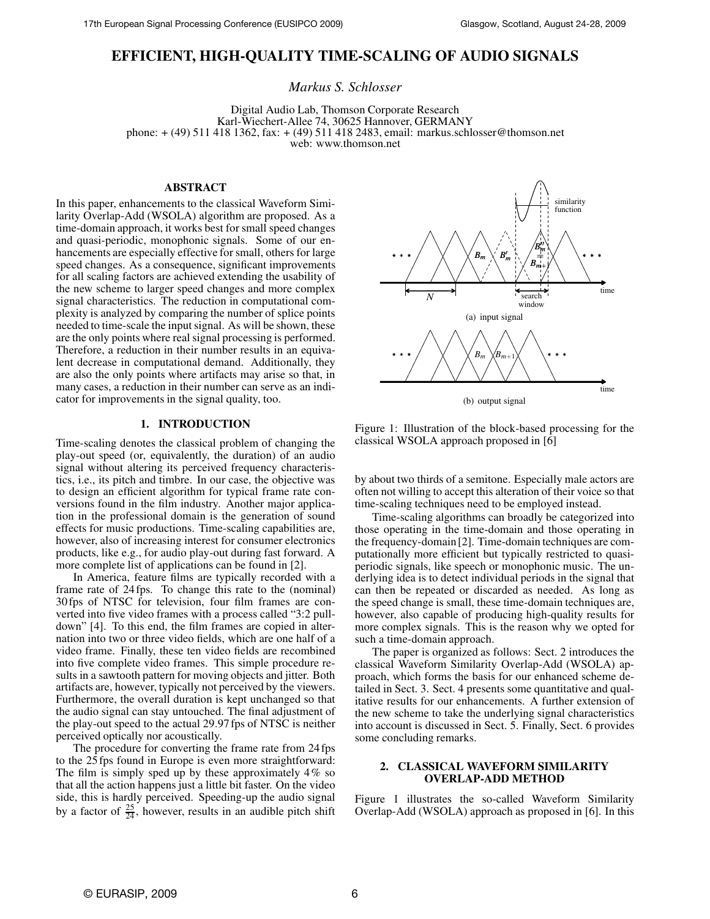# **EFFICIENT, HIGH-QUALITY TIME-SCALING OF AUDIO SIGNALS**

*Markus S. Schlosser*

Digital Audio Lab, Thomson Corporate Research Karl-Wiechert-Allee 74, 30625 Hannover, GERMANY phone: + (49) 511 418 1362, fax: + (49) 511 418 2483, email: markus.schlosser@thomson.net web: www.thomson.net

### **ABSTRACT**

In this paper, enhancements to the classical Waveform Similarity Overlap-Add (WSOLA) algorithm are proposed. As a time-domain approach, it works best for small speed changes and quasi-periodic, monophonic signals. Some of our enhancements are especially effective for small, others for large speed changes. As a consequence, significant improvements for all scaling factors are achieved extending the usability of the new scheme to larger speed changes and more complex signal characteristics. The reduction in computational complexity is analyzed by comparing the number of splice points needed to time-scale the input signal. As will be shown, these are the only points where real signal processing is performed. Therefore, a reduction in their number results in an equivalent decrease in computational demand. Additionally, they are also the only points where artifacts may arise so that, in many cases, a reduction in their number can serve as an indicator for improvements in the signal quality, too.

### **1. INTRODUCTION**

Time-scaling denotes the classical problem of changing the play-out speed (or, equivalently, the duration) of an audio signal without altering its perceived frequency characteristics, i.e., its pitch and timbre. In our case, the objective was to design an efficient algorithm for typical frame rate conversions found in the film industry. Another major application in the professional domain is the generation of sound effects for music productions. Time-scaling capabilities are, however, also of increasing interest for consumer electronics products, like e.g., for audio play-out during fast forward. A more complete list of applications can be found in [2].

In America, feature films are typically recorded with a frame rate of 24 fps. To change this rate to the (nominal) 30 fps of NTSC for television, four film frames are converted into five video frames with a process called "3:2 pulldown" [4]. To this end, the film frames are copied in alternation into two or three video fields, which are one half of a video frame. Finally, these ten video fields are recombined into five complete video frames. This simple procedure results in a sawtooth pattern for moving objects and jitter. Both artifacts are, however, typically not perceived by the viewers. Furthermore, the overall duration is kept unchanged so that the audio signal can stay untouched. The final adjustment of the play-out speed to the actual 29.97 fps of NTSC is neither perceived optically nor acoustically.

The procedure for converting the frame rate from 24 fps to the 25 fps found in Europe is even more straightforward: The film is simply sped up by these approximately 4% so that all the action happens just a little bit faster. On the video side, this is hardly perceived. Speeding-up the audio signal by a factor of  $\frac{25}{24}$ , however, results in an audible pitch shift



Figure 1: Illustration of the block-based processing for the classical WSOLA approach proposed in [6]

by about two thirds of a semitone. Especially male actors are often not willing to accept this alteration of their voice so that time-scaling techniques need to be employed instead.

Time-scaling algorithms can broadly be categorized into those operating in the time-domain and those operating in the frequency-domain [2]. Time-domain techniques are computationally more efficient but typically restricted to quasiperiodic signals, like speech or monophonic music. The underlying idea is to detect individual periods in the signal that can then be repeated or discarded as needed. As long as the speed change is small, these time-domain techniques are, however, also capable of producing high-quality results for more complex signals. This is the reason why we opted for such a time-domain approach.

The paper is organized as follows: Sect. 2 introduces the classical Waveform Similarity Overlap-Add (WSOLA) approach, which forms the basis for our enhanced scheme detailed in Sect. 3. Sect. 4 presents some quantitative and qualitative results for our enhancements. A further extension of the new scheme to take the underlying signal characteristics into account is discussed in Sect. 5. Finally, Sect. 6 provides some concluding remarks.

#### **2. CLASSICAL WAVEFORM SIMILARITY OVERLAP-ADD METHOD**

Figure 1 illustrates the so-called Waveform Similarity Overlap-Add (WSOLA) approach as proposed in [6]. In this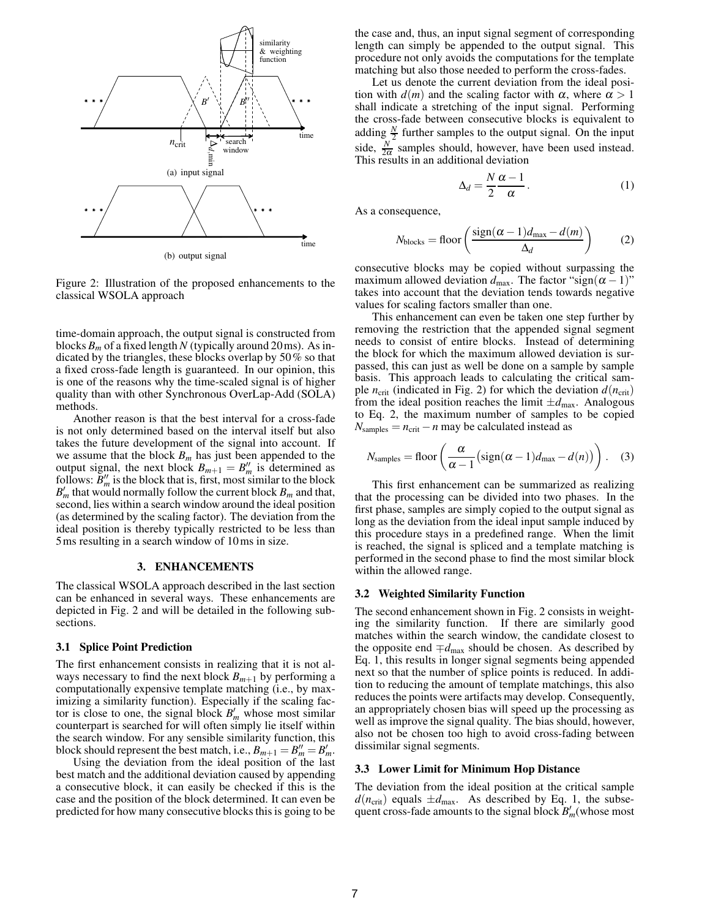

Figure 2: Illustration of the proposed enhancements to the classical WSOLA approach

time-domain approach, the output signal is constructed from blocks  $B_m$  of a fixed length N (typically around 20 ms). As indicated by the triangles, these blocks overlap by 50% so that a fixed cross-fade length is guaranteed. In our opinion, this is one of the reasons why the time-scaled signal is of higher quality than with other Synchronous OverLap-Add (SOLA) methods.

Another reason is that the best interval for a cross-fade is not only determined based on the interval itself but also takes the future development of the signal into account. If we assume that the block  $B_m$  has just been appended to the output signal, the next block  $B_{m+1} = B''_m$  is determined as follows:  $B''_m$  is the block that is, first, most similar to the block  $B'_m$  that would normally follow the current block  $B_m$  and that, second, lies within a search window around the ideal position (as determined by the scaling factor). The deviation from the ideal position is thereby typically restricted to be less than 5ms resulting in a search window of 10ms in size.

#### **3. ENHANCEMENTS**

The classical WSOLA approach described in the last section can be enhanced in several ways. These enhancements are depicted in Fig. 2 and will be detailed in the following subsections.

#### **3.1 Splice Point Prediction**

The first enhancement consists in realizing that it is not always necessary to find the next block  $B_{m+1}$  by performing a computationally expensive template matching (i.e., by maximizing a similarity function). Especially if the scaling factor is close to one, the signal block  $B'_m$  whose most similar counterpart is searched for will often simply lie itself within the search window. For any sensible similarity function, this block should represent the best match, i.e.,  $B_{m+1} = B''_m = B'_m$ .

Using the deviation from the ideal position of the last best match and the additional deviation caused by appending a consecutive block, it can easily be checked if this is the case and the position of the block determined. It can even be predicted for how many consecutive blocks this is going to be the case and, thus, an input signal segment of corresponding length can simply be appended to the output signal. This procedure not only avoids the computations for the template matching but also those needed to perform the cross-fades.

Let us denote the current deviation from the ideal position with  $d(m)$  and the scaling factor with  $\alpha$ , where  $\alpha > 1$ shall indicate a stretching of the input signal. Performing the cross-fade between consecutive blocks is equivalent to adding  $\frac{N}{2}$  further samples to the output signal. On the input side,  $\frac{N}{2\alpha}$  samples should, however, have been used instead. This results in an additional deviation

$$
\Delta_d = \frac{N \alpha - 1}{2 \alpha}.
$$
 (1)

As a consequence,

$$
N_{\text{blocks}} = \text{floor}\left(\frac{\text{sign}(\alpha - 1)d_{\text{max}} - d(m)}{\Delta_d}\right) \tag{2}
$$

consecutive blocks may be copied without surpassing the maximum allowed deviation  $d_{\text{max}}$ . The factor "sign( $\alpha - 1$ )" takes into account that the deviation tends towards negative values for scaling factors smaller than one.

This enhancement can even be taken one step further by removing the restriction that the appended signal segment needs to consist of entire blocks. Instead of determining the block for which the maximum allowed deviation is surpassed, this can just as well be done on a sample by sample basis. This approach leads to calculating the critical sample  $n_{\text{crit}}$  (indicated in Fig. 2) for which the deviation  $d(n_{\text{crit}})$ from the ideal position reaches the limit  $\pm d_{\text{max}}$ . Analogous to Eq. 2, the maximum number of samples to be copied  $N_{\text{samples}} = n_{\text{crit}} - n$  may be calculated instead as

$$
N_{\text{samples}} = \text{floor}\left(\frac{\alpha}{\alpha - 1} \left(\text{sign}(\alpha - 1)d_{\text{max}} - d(n)\right)\right). \quad (3)
$$

This first enhancement can be summarized as realizing that the processing can be divided into two phases. In the first phase, samples are simply copied to the output signal as long as the deviation from the ideal input sample induced by this procedure stays in a predefined range. When the limit is reached, the signal is spliced and a template matching is performed in the second phase to find the most similar block within the allowed range.

### **3.2 Weighted Similarity Function**

The second enhancement shown in Fig. 2 consists in weighting the similarity function. If there are similarly good matches within the search window, the candidate closest to the opposite end  $\mp d_{\text{max}}$  should be chosen. As described by Eq. 1, this results in longer signal segments being appended next so that the number of splice points is reduced. In addition to reducing the amount of template matchings, this also reduces the points were artifacts may develop. Consequently, an appropriately chosen bias will speed up the processing as well as improve the signal quality. The bias should, however, also not be chosen too high to avoid cross-fading between dissimilar signal segments.

#### **3.3 Lower Limit for Minimum Hop Distance**

The deviation from the ideal position at the critical sample  $d(n_{\text{crit}})$  equals  $\pm d_{\text{max}}$ . As described by Eq. 1, the subsequent cross-fade amounts to the signal block *B* ′ *<sup>m</sup>*(whose most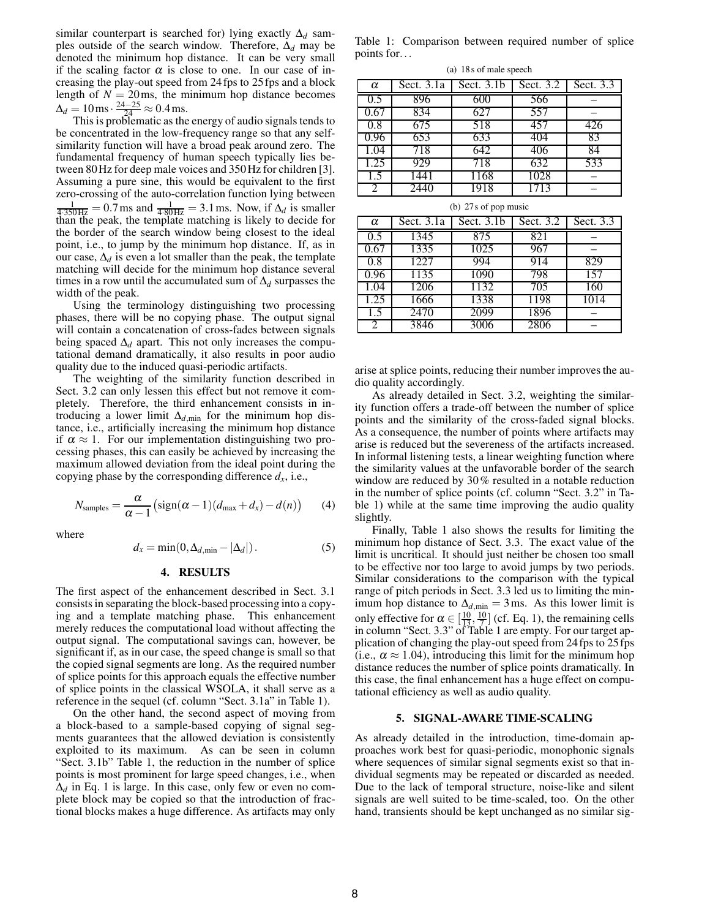similar counterpart is searched for) lying exactly ∆*<sup>d</sup>* samples outside of the search window. Therefore, ∆*<sup>d</sup>* may be denoted the minimum hop distance. It can be very small if the scaling factor  $\alpha$  is close to one. In our case of increasing the play-out speed from 24 fps to 25 fps and a block length of  $N = 20$  ms, the minimum hop distance becomes  $\Delta_d = 10 \,\text{ms} \cdot \frac{24 - 25}{24} \approx 0.4 \,\text{ms}.$ 

This is problematic as the energy of audio signals tends to be concentrated in the low-frequency range so that any selfsimilarity function will have a broad peak around zero. The fundamental frequency of human speech typically lies between 80Hz for deep male voices and 350Hz for children [3]. Assuming a pure sine, this would be equivalent to the first zero-crossing of the auto-correlation function lying between  $\frac{1}{4.350\text{Hz}}$  = 0.7 ms and  $\frac{1}{4.80\text{Hz}}$  = 3.1 ms. Now, if  $\Delta_d$  is smaller than the peak, the template matching is likely to decide for the border of the search window being closest to the ideal point, i.e., to jump by the minimum hop distance. If, as in our case,  $\Delta_d$  is even a lot smaller than the peak, the template matching will decide for the minimum hop distance several times in a row until the accumulated sum of ∆*<sup>d</sup>* surpasses the width of the peak.

Using the terminology distinguishing two processing phases, there will be no copying phase. The output signal will contain a concatenation of cross-fades between signals being spaced  $\Delta_d$  apart. This not only increases the computational demand dramatically, it also results in poor audio quality due to the induced quasi-periodic artifacts.

The weighting of the similarity function described in Sect. 3.2 can only lessen this effect but not remove it completely. Therefore, the third enhancement consists in introducing a lower limit  $\Delta_{d,\text{min}}$  for the minimum hop distance, i.e., artificially increasing the minimum hop distance if  $\alpha \approx 1$ . For our implementation distinguishing two processing phases, this can easily be achieved by increasing the maximum allowed deviation from the ideal point during the copying phase by the corresponding difference  $d_x$ , i.e.,

$$
N_{\text{samples}} = \frac{\alpha}{\alpha - 1} \left( \text{sign}(\alpha - 1)(d_{\text{max}} + d_x) - d(n) \right) \tag{4}
$$

where

$$
d_x = \min(0, \Delta_{d, \min} - |\Delta_d|). \tag{5}
$$

#### **4. RESULTS**

The first aspect of the enhancement described in Sect. 3.1 consists in separating the block-based processing into a copying and a template matching phase. This enhancement merely reduces the computational load without affecting the output signal. The computational savings can, however, be significant if, as in our case, the speed change is small so that the copied signal segments are long. As the required number of splice points for this approach equals the effective number of splice points in the classical WSOLA, it shall serve as a reference in the sequel (cf. column "Sect. 3.1a" in Table 1).

On the other hand, the second aspect of moving from a block-based to a sample-based copying of signal segments guarantees that the allowed deviation is consistently exploited to its maximum. As can be seen in column "Sect. 3.1b" Table 1, the reduction in the number of splice points is most prominent for large speed changes, i.e., when  $\Delta_d$  in Eq. 1 is large. In this case, only few or even no complete block may be copied so that the introduction of fractional blocks makes a huge difference. As artifacts may only Table 1: Comparison between required number of splice points for...

(a) 18 s of male speech

| $\alpha$ | Sect. $3.1a$ | Sect. $3.1b$ | Sect. 3.2 | Sect. 3.3 |
|----------|--------------|--------------|-----------|-----------|
| 0.5      | 896          | 600          | 566       |           |
| 0.67     | 834          | 627          | 557       |           |
| 0.8      | 675          | 518          | 457       | 426       |
| 0.96     | 653          | 633          | 404       | 83        |
| 1.04     | 718          | 642          | 406       | 84        |
| 1.25     | 929          | 718          | 632       | 533       |
| 1.5      | 1441         | 1168         | 1028      |           |
|          | 244(         | 1918         | 1713      |           |

(b) 27 s of pop music

| $\alpha$ | Sect. $3.1a$ | Sect. $3.1b$ | Sect. 3.2 | Sect. 3.3 |
|----------|--------------|--------------|-----------|-----------|
| 0.5      | 1345         | 875          | 821       |           |
| 0.67     | 1335         | 1025         | 967       |           |
| 0.8      | 1227         | 994          | 914       | 829       |
| 0.96     | 1135         | 1090         | 798       | 157       |
| 1.04     | 1206         | 1132         | 705       | 160       |
| 1.25     | 1666         | 1338         | 1198      | 1014      |
| 1.5      | 2470         | 2099         | 1896      |           |
|          | 3846         | 3006         | 2806      |           |

arise at splice points, reducing their number improves the audio quality accordingly.

As already detailed in Sect. 3.2, weighting the similarity function offers a trade-off between the number of splice points and the similarity of the cross-faded signal blocks. As a consequence, the number of points where artifacts may arise is reduced but the severeness of the artifacts increased. In informal listening tests, a linear weighting function where the similarity values at the unfavorable border of the search window are reduced by 30% resulted in a notable reduction in the number of splice points (cf. column "Sect. 3.2" in Table 1) while at the same time improving the audio quality slightly.

Finally, Table 1 also shows the results for limiting the minimum hop distance of Sect. 3.3. The exact value of the limit is uncritical. It should just neither be chosen too small to be effective nor too large to avoid jumps by two periods. Similar considerations to the comparison with the typical range of pitch periods in Sect. 3.3 led us to limiting the minimum hop distance to  $\Delta_{d,\text{min}} = 3$  ms. As this lower limit is only effective for  $\alpha \in \left[\frac{10}{13}, \frac{10}{7}\right]$  (cf. Eq. 1), the remaining cells in column "Sect. 3.3" of Table 1 are empty. For our target application of changing the play-out speed from 24 fps to 25 fps (i.e.,  $\alpha \approx 1.04$ ), introducing this limit for the minimum hop distance reduces the number of splice points dramatically. In this case, the final enhancement has a huge effect on computational efficiency as well as audio quality.

#### **5. SIGNAL-AWARE TIME-SCALING**

As already detailed in the introduction, time-domain approaches work best for quasi-periodic, monophonic signals where sequences of similar signal segments exist so that individual segments may be repeated or discarded as needed. Due to the lack of temporal structure, noise-like and silent signals are well suited to be time-scaled, too. On the other hand, transients should be kept unchanged as no similar sig-